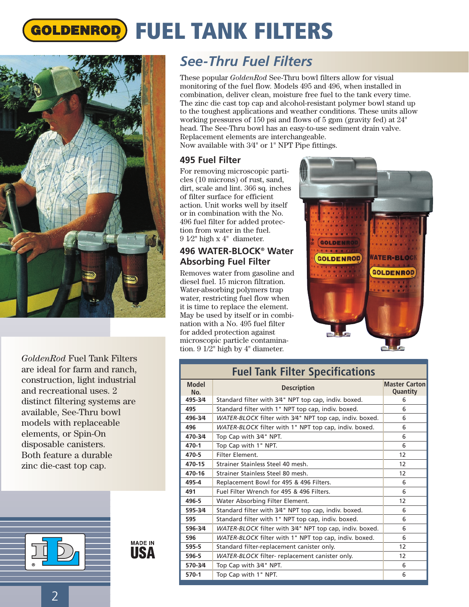# **GOLDENROD) FUEL TANK FILTERS**



*GoldenRod* Fuel Tank Filters are ideal for farm and ranch, construction, light industrial and recreational uses. 2 distinct filtering systems are available, See-Thru bowl models with replaceable elements, or Spin-On disposable canisters. Both feature a durable zinc die-cast top cap.



**MADE IN** IISA

## *See-Thru Fuel Filters*

These popular *GoldenRod* See-Thru bowl filters allow for visual monitoring of the fuel flow. Models 495 and 496, when installed in combination, deliver clean, moisture free fuel to the tank every time. The zinc die cast top cap and alcohol-resistant polymer bowl stand up to the toughest applications and weather conditions. These units allow working pressures of 150 psi and flows of 5 gpm (gravity fed) at 24" head. The See-Thru bowl has an easy-to-use sediment drain valve. Replacement elements are interchangeable. Now available with 3⁄4" or 1" NPT Pipe fittings.

#### **495 Fuel Filter**

For removing microscopic particles (10 microns) of rust, sand, dirt, scale and lint. 366 sq. inches of filter surface for efficient action. Unit works well by itself or in combination with the No. 496 fuel filter for added protection from water in the fuel. 9 1⁄2" high x 4" diameter.

#### **496 WATER-BLOCK® Water Absorbing Fuel Filter**

Removes water from gasoline and diesel fuel. 15 micron filtration. Water-absorbing polymers trap water, restricting fuel flow when it is time to replace the element. May be used by itself or in combination with a No. 495 fuel filter for added protection against microscopic particle contamination. 9 1/2" high by 4" diameter.



| <b>Fuel Tank Filter Specifications</b> |                                                         |                                  |
|----------------------------------------|---------------------------------------------------------|----------------------------------|
| <b>Model</b><br>No.                    | <b>Description</b>                                      | <b>Master Carton</b><br>Quantity |
| 495-3/4                                | Standard filter with 3/4" NPT top cap, indiv. boxed.    | 6                                |
| 495                                    | Standard filter with 1" NPT top cap, indiv. boxed.      | 6                                |
| 496-3/4                                | WATER-BLOCK filter with 3/4" NPT top cap, indiv. boxed. | 6                                |
| 496                                    | WATER-BLOCK filter with 1" NPT top cap, indiv. boxed.   | 6                                |
| 470-3/4                                | Top Cap with 3/4" NPT.                                  | 6                                |
| 470-1                                  | Top Cap with 1" NPT.                                    | 6                                |
| 470-5                                  | Filter Element.                                         | 12                               |
| 470-15                                 | Strainer Stainless Steel 40 mesh.                       | 12                               |
| 470-16                                 | Strainer Stainless Steel 80 mesh.                       | 12                               |
| 495-4                                  | Replacement Bowl for 495 & 496 Filters.                 | 6                                |
| 491                                    | Fuel Filter Wrench for 495 & 496 Filters.               | 6                                |
| 496-5                                  | Water Absorbing Filter Element.                         | 12                               |
| 595-3/4                                | Standard filter with 3/4" NPT top cap, indiv. boxed.    | 6                                |
| 595                                    | Standard filter with 1" NPT top cap, indiv. boxed.      | 6                                |
| 596-3/4                                | WATER-BLOCK filter with 3/4" NPT top cap, indiv. boxed. | 6                                |
| 596                                    | WATER-BLOCK filter with 1" NPT top cap, indiv. boxed.   | 6                                |
| 595-5                                  | Standard filter-replacement canister only.              | 12                               |
| 596-5                                  | WATER-BLOCK filter- replacement canister only.          | 12                               |
| 570-3/4                                | Top Cap with 3/4" NPT.                                  | 6                                |
| $570-1$                                | Top Cap with 1" NPT.                                    | 6                                |